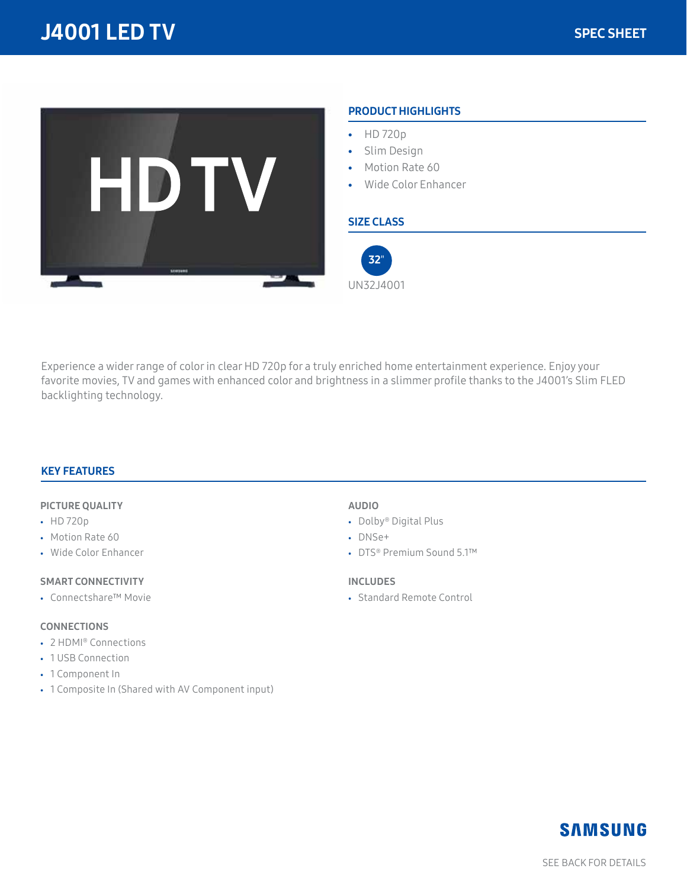

## PRODUCT HIGHLIGHTS

- HD 720p
- Slim Design
- Motion Rate 60
- Wide Color Enhancer

#### SIZE CLASS



Experience a wider range of color in clear HD 720p for a truly enriched home entertainment experience. Enjoy your favorite movies, TV and games with enhanced color and brightness in a slimmer profile thanks to the J4001's Slim FLED backlighting technology.

#### KEY FEATURES

#### PICTURE QUALITY

- HD 720p
- Motion Rate 60
- Wide Color Enhancer

#### SMART CONNECTIVITY

• Connectshare™ Movie

#### CONNECTIONS

- 2 HDMI® Connections
- 1 USB Connection
- 1 Component In
- 1 Composite In (Shared with AV Component input)

#### AUDIO

- Dolby® Digital Plus
- DNSe+
- DTS® Premium Sound 5.1™

#### INCLUDES

• Standard Remote Control

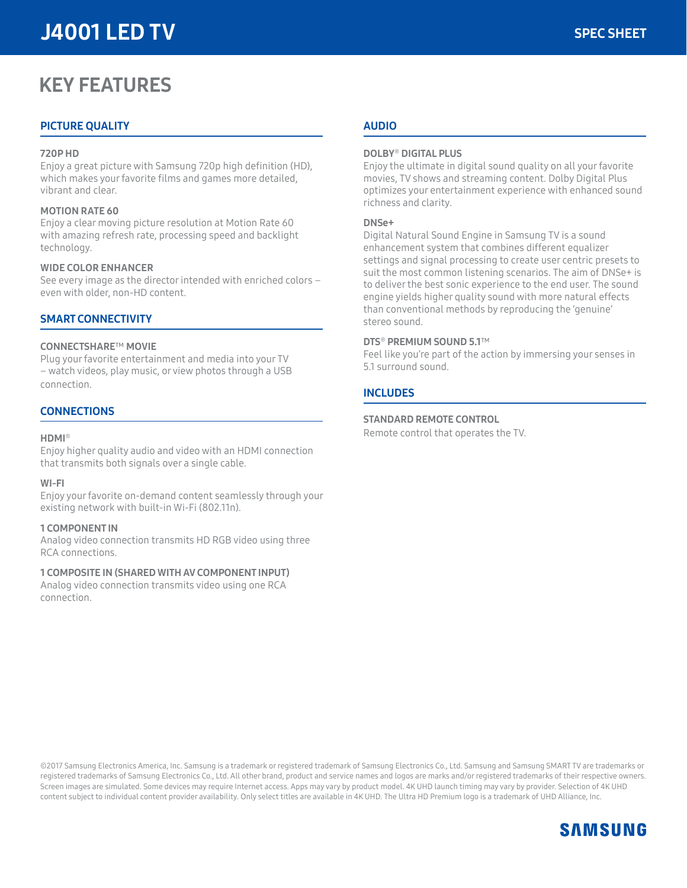# KEY FEATURES **J4001 LED TV**<br>KEY FEATURES<br>PICTURE QUALITY

#### 720P HD

Enjoy a great picture with Samsung 720p high definition (HD), which makes your favorite films and games more detailed, vibrant and clear.

#### MOTION RATE 60

Enjoy a clear moving picture resolution at Motion Rate 60 with amazing refresh rate, processing speed and backlight technology.

#### WIDE COLOR ENHANCER

See every image as the director intended with enriched colors – even with older, non-HD content.

#### SMART CONNECTIVITY

#### CONNECTSHARE™ MOVIE

Plug your favorite entertainment and media into your TV – watch videos, play music, or view photos through a USB connection.

#### **CONNECTIONS**

#### HDMI®

Enjoy higher quality audio and video with an HDMI connection that transmits both signals over a single cable.

#### WI-FI

Enjoy your favorite on-demand content seamlessly through your existing network with built-in Wi-Fi (802.11n).

#### 1 COMPONENT IN

Analog video connection transmits HD RGB video using three RCA connections.

#### 1 COMPOSITE IN (SHARED WITH AV COMPONENT INPUT)

Analog video connection transmits video using one RCA connection.

#### AUDIO

#### DOLBY® DIGITAL PLUS

Enjoy the ultimate in digital sound quality on all your favorite movies, TV shows and streaming content. Dolby Digital Plus optimizes your entertainment experience with enhanced sound richness and clarity.

#### DNSe+

Digital Natural Sound Engine in Samsung TV is a sound enhancement system that combines different equalizer settings and signal processing to create user centric presets to suit the most common listening scenarios. The aim of DNSe+ is to deliver the best sonic experience to the end user. The sound engine yields higher quality sound with more natural effects than conventional methods by reproducing the 'genuine' stereo sound.

#### DTS® PREMIUM SOUND 5.1™

Feel like you're part of the action by immersing your senses in 5.1 surround sound.

### INCLUDES

#### STANDARD REMOTE CONTROL

Remote control that operates the TV.

©2017 Samsung Electronics America, Inc. Samsung is a trademark or registered trademark of Samsung Electronics Co., Ltd. Samsung and Samsung SMART TV are trademarks or registered trademarks of Samsung Electronics Co., Ltd. All other brand, product and service names and logos are marks and/or registered trademarks of their respective owners. Screen images are simulated. Some devices may require Internet access. Apps may vary by product model. 4K UHD launch timing may vary by provider. Selection of 4K UHD content subject to individual content provider availability. Only select titles are available in 4K UHD. The Ultra HD Premium logo is a trademark of UHD Alliance, Inc.